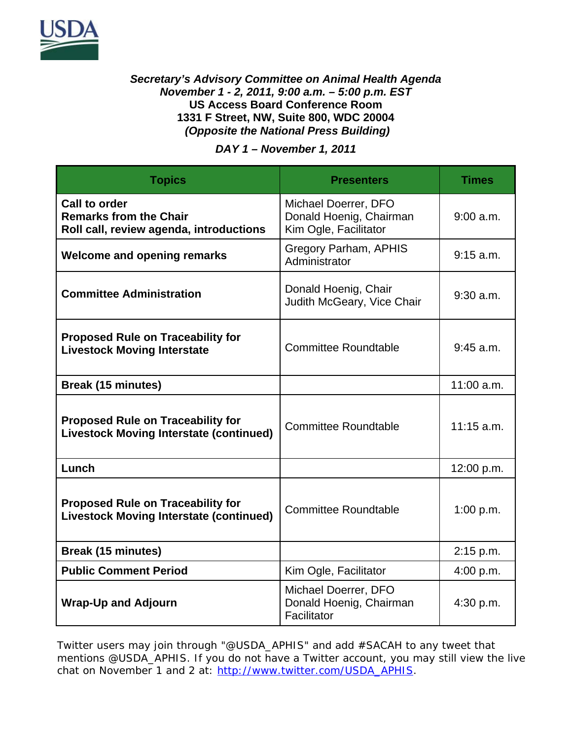

## *Secretary's Advisory Committee on Animal Health Agenda November 1 - 2, 2011, 9:00 a.m. – 5:00 p.m. EST*  **US Access Board Conference Room 1331 F Street, NW, Suite 800, WDC 20004**   *(Opposite the National Press Building)*

*DAY 1 – November 1, 2011* 

| <b>Topics</b>                                                                              | <b>Presenters</b>                                                        | <b>Times</b> |
|--------------------------------------------------------------------------------------------|--------------------------------------------------------------------------|--------------|
| Call to order<br><b>Remarks from the Chair</b><br>Roll call, review agenda, introductions  | Michael Doerrer, DFO<br>Donald Hoenig, Chairman<br>Kim Ogle, Facilitator | $9:00$ a.m.  |
| <b>Welcome and opening remarks</b>                                                         | <b>Gregory Parham, APHIS</b><br>Administrator                            | $9:15$ a.m.  |
| <b>Committee Administration</b>                                                            | Donald Hoenig, Chair<br>Judith McGeary, Vice Chair                       | $9:30$ a.m.  |
| <b>Proposed Rule on Traceability for</b><br><b>Livestock Moving Interstate</b>             | <b>Committee Roundtable</b>                                              | $9:45$ a.m.  |
| <b>Break (15 minutes)</b>                                                                  |                                                                          | 11:00 a.m.   |
| <b>Proposed Rule on Traceability for</b><br><b>Livestock Moving Interstate (continued)</b> | <b>Committee Roundtable</b>                                              | $11:15$ a.m. |
| Lunch                                                                                      |                                                                          | 12:00 p.m.   |
| <b>Proposed Rule on Traceability for</b><br><b>Livestock Moving Interstate (continued)</b> | <b>Committee Roundtable</b>                                              | 1:00 p.m.    |
| <b>Break (15 minutes)</b>                                                                  |                                                                          | 2:15 p.m.    |
| <b>Public Comment Period</b>                                                               | Kim Ogle, Facilitator                                                    | 4:00 p.m.    |
| <b>Wrap-Up and Adjourn</b>                                                                 | Michael Doerrer, DFO<br>Donald Hoenig, Chairman<br>Facilitator           | 4:30 p.m.    |

Twitter users may join through "@USDA\_APHIS" and add #SACAH to any tweet that mentions @USDA\_APHIS. If you do not have a Twitter account, you may still view the live chat on November 1 and 2 at: http://www.twitter.com/USDA\_APHIS.